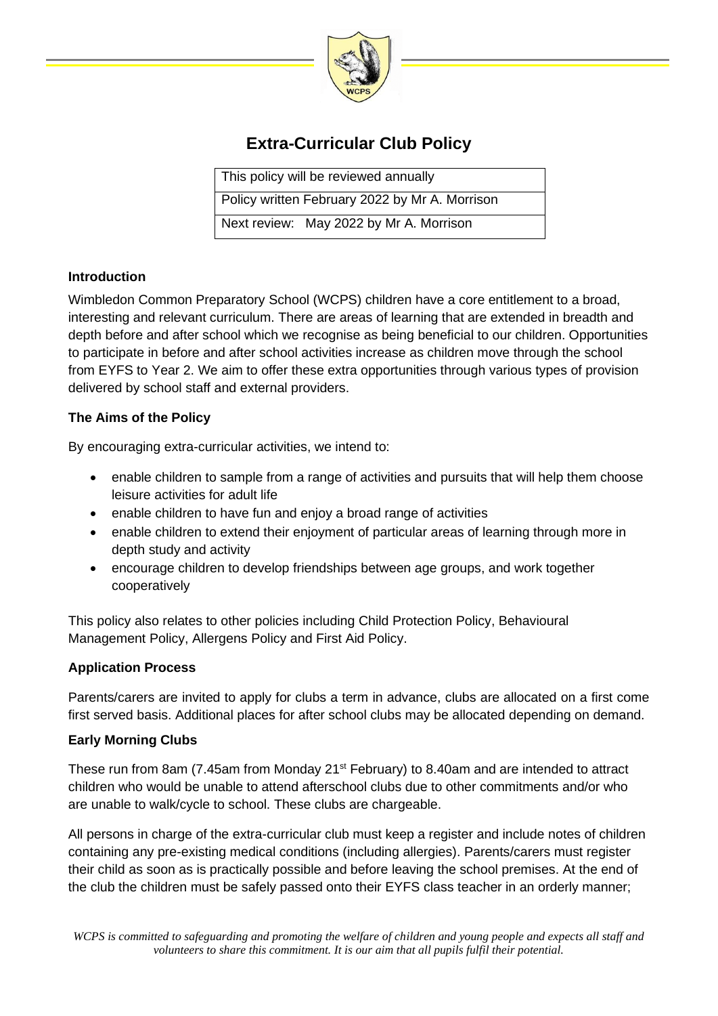

# **Extra-Curricular Club Policy**

This policy will be reviewed annually

Policy written February 2022 by Mr A. Morrison

Next review: May 2022 by Mr A. Morrison

## **Introduction**

Wimbledon Common Preparatory School (WCPS) children have a core entitlement to a broad, interesting and relevant curriculum. There are areas of learning that are extended in breadth and depth before and after school which we recognise as being beneficial to our children. Opportunities to participate in before and after school activities increase as children move through the school from EYFS to Year 2. We aim to offer these extra opportunities through various types of provision delivered by school staff and external providers.

## **The Aims of the Policy**

By encouraging extra-curricular activities, we intend to:

- enable children to sample from a range of activities and pursuits that will help them choose leisure activities for adult life
- enable children to have fun and enjoy a broad range of activities
- enable children to extend their enjoyment of particular areas of learning through more in depth study and activity
- encourage children to develop friendships between age groups, and work together cooperatively

This policy also relates to other policies including Child Protection Policy, Behavioural Management Policy, Allergens Policy and First Aid Policy.

## **Application Process**

Parents/carers are invited to apply for clubs a term in advance, clubs are allocated on a first come first served basis. Additional places for after school clubs may be allocated depending on demand.

## **Early Morning Clubs**

These run from 8am (7.45am from Monday 21<sup>st</sup> February) to 8.40am and are intended to attract children who would be unable to attend afterschool clubs due to other commitments and/or who are unable to walk/cycle to school. These clubs are chargeable.

All persons in charge of the extra-curricular club must keep a register and include notes of children containing any pre-existing medical conditions (including allergies). Parents/carers must register their child as soon as is practically possible and before leaving the school premises. At the end of the club the children must be safely passed onto their EYFS class teacher in an orderly manner;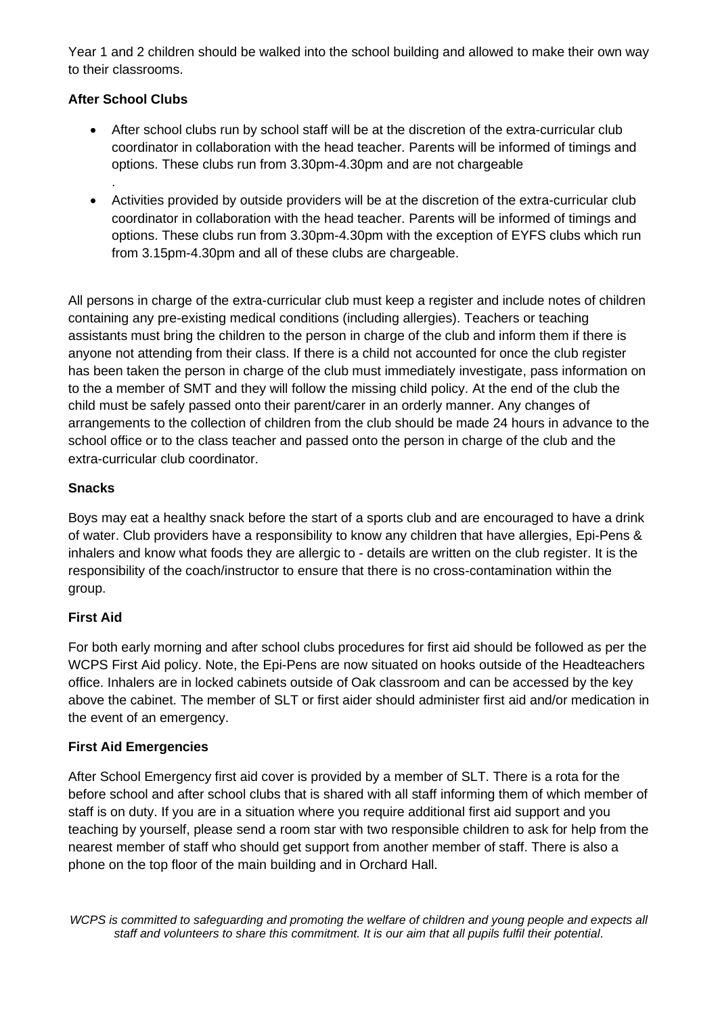Year 1 and 2 children should be walked into the school building and allowed to make their own way to their classrooms.

# **After School Clubs**

.

- After school clubs run by school staff will be at the discretion of the extra-curricular club coordinator in collaboration with the head teacher. Parents will be informed of timings and options. These clubs run from 3.30pm-4.30pm and are not chargeable
- Activities provided by outside providers will be at the discretion of the extra-curricular club coordinator in collaboration with the head teacher. Parents will be informed of timings and options. These clubs run from 3.30pm-4.30pm with the exception of EYFS clubs which run from 3.15pm-4.30pm and all of these clubs are chargeable.

All persons in charge of the extra-curricular club must keep a register and include notes of children containing any pre-existing medical conditions (including allergies). Teachers or teaching assistants must bring the children to the person in charge of the club and inform them if there is anyone not attending from their class. If there is a child not accounted for once the club register has been taken the person in charge of the club must immediately investigate, pass information on to the a member of SMT and they will follow the missing child policy. At the end of the club the child must be safely passed onto their parent/carer in an orderly manner. Any changes of arrangements to the collection of children from the club should be made 24 hours in advance to the school office or to the class teacher and passed onto the person in charge of the club and the extra-curricular club coordinator.

## **Snacks**

Boys may eat a healthy snack before the start of a sports club and are encouraged to have a drink of water. Club providers have a responsibility to know any children that have allergies, Epi-Pens & inhalers and know what foods they are allergic to - details are written on the club register. It is the responsibility of the coach/instructor to ensure that there is no cross-contamination within the group.

## **First Aid**

For both early morning and after school clubs procedures for first aid should be followed as per the WCPS First Aid policy. Note, the Epi-Pens are now situated on hooks outside of the Headteachers office. Inhalers are in locked cabinets outside of Oak classroom and can be accessed by the key above the cabinet. The member of SLT or first aider should administer first aid and/or medication in the event of an emergency.

## **First Aid Emergencies**

After School Emergency first aid cover is provided by a member of SLT. There is a rota for the before school and after school clubs that is shared with all staff informing them of which member of staff is on duty. If you are in a situation where you require additional first aid support and you teaching by yourself, please send a room star with two responsible children to ask for help from the nearest member of staff who should get support from another member of staff. There is also a phone on the top floor of the main building and in Orchard Hall.

*WCPS is committed to safeguarding and promoting the welfare of children and young people and expects all staff and volunteers to share this commitment. It is our aim that all pupils fulfil their potential.*